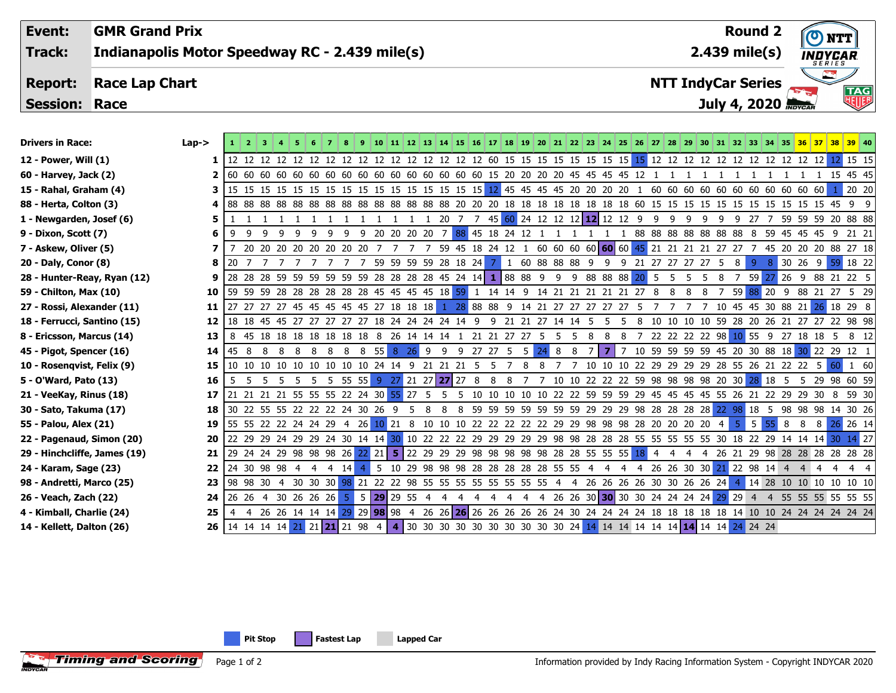| Event:               | <b>GMR Grand Prix</b>                          | <b>Round 2</b>            | <b>NTT</b>                      |
|----------------------|------------------------------------------------|---------------------------|---------------------------------|
| Track:               | Indianapolis Motor Speedway RC - 2.439 mile(s) | $2.439$ mile(s)           | <b>INDYCAR</b><br><b>SERIES</b> |
| <b>Report:</b>       | <b>Race Lap Chart</b>                          | <b>NTT IndyCar Series</b> |                                 |
| <b>Session: Race</b> |                                                | July 4, 2020 MOVCAR       | <b>TAG</b><br>NUF               |
|                      |                                                |                           |                                 |
|                      |                                                |                           |                                 |

| <b>Drivers in Race:</b>      | $Lap->$ |      |                                                                             |    |     |     |                |          |              |                                                |     |    |           |    |    |                                                                      |    |   |                |          |                                        |    |     |     |    |    |                |                |                             |                                                |   |    | 8 9 10 11 12 13 14 15 16 17 18 19 20 21 22 23 24 25 26 27 28 29 30 31 32 33 34 35 36 37 38 39 40 |
|------------------------------|---------|------|-----------------------------------------------------------------------------|----|-----|-----|----------------|----------|--------------|------------------------------------------------|-----|----|-----------|----|----|----------------------------------------------------------------------|----|---|----------------|----------|----------------------------------------|----|-----|-----|----|----|----------------|----------------|-----------------------------|------------------------------------------------|---|----|--------------------------------------------------------------------------------------------------|
| 12 - Power, Will (1)         |         |      |                                                                             |    |     |     |                |          |              |                                                |     |    |           |    |    |                                                                      |    |   |                |          |                                        |    |     |     |    |    |                |                |                             |                                                |   |    |                                                                                                  |
| 60 - Harvey, Jack (2)        |         |      |                                                                             |    |     |     |                |          |              |                                                |     |    |           |    |    |                                                                      |    |   |                |          |                                        |    |     |     |    |    |                |                |                             |                                                |   |    | 1 15 45 45                                                                                       |
| 15 - Rahal, Graham (4)       |         |      |                                                                             |    |     |     |                |          |              |                                                |     |    |           |    |    |                                                                      |    |   |                |          |                                        |    |     |     |    |    |                |                |                             |                                                |   |    | 20 20                                                                                            |
| 88 - Herta, Colton (3)       |         |      |                                                                             |    |     |     |                |          |              |                                                |     |    |           |    |    |                                                                      |    |   |                |          |                                        |    |     |     |    |    |                |                |                             |                                                |   |    |                                                                                                  |
| 1 - Newgarden, Josef (6)     |         |      |                                                                             |    | 111 |     |                |          |              |                                                |     |    |           |    |    | 1 1 1 1 1 1 20 7 7 45 60 24 12 12 12 12 12 12 12 9                   |    |   |                |          |                                        | -9 | - 9 | 9   | -9 | 9  | 9 27 7         |                |                             |                                                |   |    | 59 59 59 20 88 88                                                                                |
| 9 - Dixon, Scott (7)         |         | -9   | -9<br>-9                                                                    | 9  | -9  | 9   | 9              |          |              |                                                |     |    |           |    |    | 9 20 20 20 20 7 88 45 18 24 12                                       |    |   | $1\quad1$      |          |                                        |    |     |     |    |    |                |                |                             |                                                |   |    | 88 88 88 88 88 88 88 8 59 45 45 45 9 21 21                                                       |
| 7 - Askew, Oliver (5)        |         |      | 20 20 20 20 20 20 20 20                                                     |    |     |     |                |          |              |                                                |     |    |           |    |    |                                                                      |    |   |                |          |                                        |    |     |     |    |    |                |                |                             |                                                |   |    | 7 7 59 45 18 24 12 1 60 60 60 60 60 60 45 21 21 21 21 27 27 7 45 20 20 20 88 27 18               |
| 20 - Daly, Conor (8)         | 8       | 20   |                                                                             |    |     |     |                |          |              | 59 59 59 59 28 18 24                           |     |    |           |    |    | 7 1 60 88 88 88 9                                                    |    |   |                | -9       | 9 21 27 27 27 27 5                     |    |     |     |    |    | 8 <sup>1</sup> | -9             |                             |                                                |   |    | 8 30 26 9 59 18 22                                                                               |
| 28 - Hunter-Reay, Ryan (12)  | 9       |      | 28 28 28 59 59 59 59 59 59 28 28 28 28 45 24 14 1 88 88 9 9 9 88 88 88 20 5 |    |     |     |                |          |              |                                                |     |    |           |    |    |                                                                      |    |   |                |          |                                        |    | - 5 | - 5 | -5 | 8  | 7 59           |                |                             |                                                |   |    | 26 9 88 21 22 5                                                                                  |
| 59 - Chilton, Max (10)       | 10      |      | 59 59 59 28 28 28 28 28 28 45 45 45 45 18 59 1 14 14 9 14 21 21 21 21 21 27 |    |     |     |                |          |              |                                                |     |    |           |    |    |                                                                      |    |   |                |          |                                        | -8 | 8   |     |    |    |                |                |                             |                                                |   |    | 59 88 20 9 88 21 27 5 29                                                                         |
| 27 - Rossi, Alexander (11)   | 11      |      | 27 27 27 45 45 45 45 45 47 27 18 18 18 1 28 88 88 9 14 21 27 27 27 27 27 5  |    |     |     |                |          |              |                                                |     |    |           |    |    |                                                                      |    |   |                |          |                                        |    |     |     |    |    |                |                |                             | 10 45 45 30 88 21                              |   |    | 26 18 29 8                                                                                       |
| 18 - Ferrucci, Santino (15)  | 12      |      | 18 18 45 45 27 27 27 27 27 18 24 24 24 24 14 9                              |    |     |     |                |          |              |                                                |     |    |           |    |    | 9 21 21 27 14 14 5                                                   |    |   |                | .5.      | 8<br>-5.                               |    |     |     |    |    |                |                |                             |                                                |   |    | 10 10 10 10 59 28 20 26 21 27 27 22 98 98                                                        |
| 8 - Ericsson, Marcus (14)    | 13      |      | 8 45 18 18 18 18 18 18 18 8 26 14 14 14 1 21 21 27 27 5 5 5 8               |    |     |     |                |          |              |                                                |     |    |           |    |    |                                                                      |    |   |                | - 8<br>8 |                                        |    |     |     |    |    |                |                |                             |                                                |   |    | 7 22 22 22 22 98 10 55 9 27 18 18 5 8 12                                                         |
| 45 - Pigot, Spencer (16)     | 14      | 45 8 | -8<br>- 8                                                                   | 88 |     | - 8 | - 8            | 8 55 8   |              | $26$ 9                                         |     | 9  | 9 27 27 5 |    |    | -5                                                                   | 24 | 8 | 8 <sup>8</sup> | <b>7</b> | 7                                      |    |     |     |    |    |                |                |                             |                                                |   |    | 10 59 59 59 59 45 20 30 88 18 30 22 29 12 1                                                      |
| 10 - Rosenqvist, Felix (9)   | 15      |      | 10 10 10 10 10 10 10 10 10 24 14 9 21 21 21 5                               |    |     |     |                |          |              |                                                |     |    |           |    | -5 | 8                                                                    | 8  |   |                |          |                                        |    |     |     |    |    |                |                |                             | 10 10 10 22 29 29 29 29 28 55 26 21 22 22 5 60 |   |    | 1 60                                                                                             |
| 5 - O'Ward, Pato (13)        | 16      | - 5  | 5 5 5 5 5 5 5 55 55                                                         |    |     |     |                |          |              | $9$ 27 21 27 27 27 8                           |     |    |           |    | 8  | -8                                                                   |    |   |                |          | 7 10 10 22 22 22 59 98 98 98 98 20 30  |    |     |     |    |    |                | 28 18          | -5                          |                                                |   |    | 5 29 98 60 59                                                                                    |
| 21 - VeeKay, Rinus (18)      | 17      |      | 21 21 21 21 55 55 55 22 24 30 55                                            |    |     |     |                |          |              | 27                                             | - 5 |    |           | 10 | 10 | 10                                                                   |    |   |                |          | 10 10 22 22 59 59 59 29 45 45 45 45 55 |    |     |     |    |    | -26<br>- 21    |                |                             | 22 29 29 30                                    |   | -8 | 59 30                                                                                            |
| 30 - Sato, Takuma (17)       | 18      |      | 30 22 55 55 22 22 22 24 30 26 9                                             |    |     |     |                |          |              | 5.                                             | -8  | 8  |           |    |    | 8 59 59 59 59 59 59 59 29 29 29 98 28 28 28 28 22 98 18              |    |   |                |          |                                        |    |     |     |    |    |                |                |                             |                                                |   |    | 5 98 98 98 14 30 26                                                                              |
| 55 - Palou, Alex (21)        | 19      |      | 55 55 22 22 24 24 29                                                        |    |     |     | $\overline{4}$ |          |              |                                                |     |    |           |    |    | 26 10 21 8 10 10 10 22 22 22 22 22 29 29 98 98 98 28 20 20 20 20     |    |   |                |          |                                        |    |     |     |    | -4 | -5.            | 5 <sup>1</sup> | 8<br>55.                    | -8                                             | 8 |    | 26 26 14                                                                                         |
| 22 - Pagenaud, Simon (20)    | 20      |      | 22 29 29 24 29 29 24 30 14 14 30                                            |    |     |     |                |          |              |                                                |     |    |           |    |    |                                                                      |    |   |                |          |                                        |    |     |     |    |    |                |                |                             |                                                |   |    | 10 22 22 22 29 29 29 29 29 38 38 28 28 28 55 55 55 55 55 30 18 22 29 14 14 14 30 14 27           |
| 29 - Hinchcliffe, James (19) | 21      |      | 29 24 24 29 98 98 98 26                                                     |    |     |     |                | $22$ 21  |              |                                                |     |    |           |    |    | 5 22 29 29 29 98 98 98 98 98 28 28 55 55 55 18 4                     |    |   |                |          |                                        |    | 4   | 4   | -4 |    |                |                |                             |                                                |   |    | 26 21 29 98 28 28 28 28 28 28                                                                    |
| 24 - Karam, Sage (23)        | 22      |      | 24 30 98 98 4 4                                                             |    |     | 4   | -14            | -5       |              |                                                |     |    |           |    |    | 10 29 98 98 98 28 28 28 28 28 55 55 4                                |    |   |                | -4       | 4                                      |    |     |     |    |    |                |                | 4 26 26 30 30 21 22 98 14 4 |                                                |   |    |                                                                                                  |
| 98 - Andretti, Marco (25)    | 23      |      | 98 98 30 4 30 30 30 98 21 22 22 98 55 55 55 55 55 55 55 55 55               |    |     |     |                |          |              |                                                |     |    |           |    |    |                                                                      |    |   |                |          | 4 26 26 26 26 30 30 26 26 24           |    |     |     |    |    |                |                |                             |                                                |   |    | 14 28 10 10 10 10 10 10                                                                          |
| 26 - Veach, Zach (22)        | 24      |      | 26 26 4 30 26 26 26 5                                                       |    |     |     |                |          |              | $5 \,   \, 29 \,   \, 29 \,   \, 55 \,   \, 4$ |     | -4 |           |    | 4  | -4<br>-4                                                             |    |   |                |          | 4 26 26 30 30 30 30 24 24 24 24 29     |    |     |     |    |    | 29 4           |                |                             |                                                |   |    | 55 55 55 55 55 55                                                                                |
| 4 - Kimball, Charlie (24)    | 25      | -4   | 4 26 26 14 14 14 29                                                         |    |     |     |                | 29 98 98 |              |                                                |     |    |           |    |    |                                                                      |    |   |                |          |                                        |    |     |     |    |    |                |                |                             |                                                |   |    | 4 26 26 26 26 26 26 26 26 26 24 30 24 24 24 24 24 18 18 18 18 18 14 10 10 24 24 24 24 24 24      |
| 14 - Kellett, Dalton (26)    | 26      |      | 14 14 14 14 21 21 21 21 98                                                  |    |     |     |                | 4        | $\mathbf{4}$ |                                                |     |    |           |    |    | 30 30 30 30 30 30 30 30 30 30 24 14 14 14 14 14 14 14 14 14 24 24 24 |    |   |                |          |                                        |    |     |     |    |    |                |                |                             |                                                |   |    |                                                                                                  |